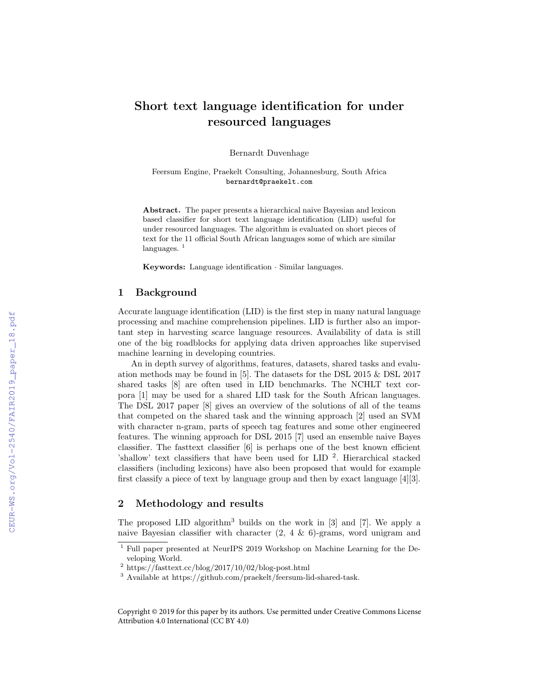# Short text language identification for under resourced languages

Bernardt Duvenhage

Feersum Engine, Praekelt Consulting, Johannesburg, South Africa bernardt@praekelt.com

Abstract. The paper presents a hierarchical naive Bayesian and lexicon based classifier for short text language identification (LID) useful for under resourced languages. The algorithm is evaluated on short pieces of text for the 11 official South African languages some of which are similar languages.  $<sup>1</sup>$ </sup>

**Keywords:** Language identification  $\cdot$  Similar languages.

### 1 Background

Accurate language identification (LID) is the first step in many natural language processing and machine comprehension pipelines. LID is further also an important step in harvesting scarce language resources. Availability of data is still one of the big roadblocks for applying data driven approaches like supervised machine learning in developing countries.

An in depth survey of algorithms, features, datasets, shared tasks and evaluation methods may be found in [5]. The datasets for the DSL 2015 & DSL 2017 shared tasks [8] are often used in LID benchmarks. The NCHLT text corpora [1] may be used for a shared LID task for the South African languages. The DSL 2017 paper [8] gives an overview of the solutions of all of the teams that competed on the shared task and the winning approach [2] used an SVM with character n-gram, parts of speech tag features and some other engineered features. The winning approach for DSL 2015 [7] used an ensemble naive Bayes classifier. The fasttext classifier [6] is perhaps one of the best known efficient 'shallow' text classifiers that have been used for LID<sup>2</sup>. Hierarchical stacked classifiers (including lexicons) have also been proposed that would for example first classify a piece of text by language group and then by exact language [4][3].

## 2 Methodology and results

The proposed LID algorithm<sup>3</sup> builds on the work in [3] and [7]. We apply a naive Bayesian classifier with character  $(2, 4 \& 6)$ -grams, word unigram and

Copyright © 2019 for this paper by its authors. Use permitted under Creative Commons License Attribution 4.0 International (CC BY 4.0)

<sup>1</sup> Full paper presented at NeurIPS 2019 Workshop on Machine Learning for the Developing World.

<sup>&</sup>lt;sup>2</sup> https://fasttext.cc/blog/2017/10/02/blog-post.html

<sup>3</sup> Available at https://github.com/praekelt/feersum-lid-shared-task.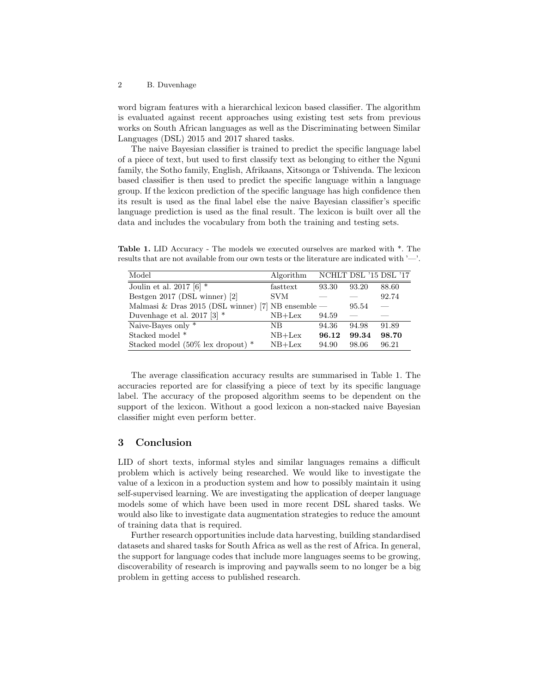#### 2 B. Duvenhage

word bigram features with a hierarchical lexicon based classifier. The algorithm is evaluated against recent approaches using existing test sets from previous works on South African languages as well as the Discriminating between Similar Languages (DSL) 2015 and 2017 shared tasks.

The naive Bayesian classifier is trained to predict the specific language label of a piece of text, but used to first classify text as belonging to either the Nguni family, the Sotho family, English, Afrikaans, Xitsonga or Tshivenda. The lexicon based classifier is then used to predict the specific language within a language group. If the lexicon prediction of the specific language has high confidence then its result is used as the final label else the naive Bayesian classifier's specific language prediction is used as the final result. The lexicon is built over all the data and includes the vocabulary from both the training and testing sets.

Table 1. LID Accuracy - The models we executed ourselves are marked with \*. The results that are not available from our own tests or the literature are indicated with '—'.

| Model                                                | Algorithm  |       |       | NCHLT DSL '15 DSL '17    |
|------------------------------------------------------|------------|-------|-------|--------------------------|
| Joulin et al. 2017 [6] $*$                           | fasttext   | 93.30 | 93.20 | 88.60                    |
| Bestgen 2017 (DSL winner) [2]                        | <b>SVM</b> |       |       | 92.74                    |
| Malmasi & Dras 2015 (DSL winner) [7] NB ensemble $-$ |            |       | 95.54 | $\overline{\phantom{0}}$ |
| Duvenhage et al. 2017 [3] $*$                        | $NB+Lex$   | 94.59 |       |                          |
| Naive-Bayes only *                                   | NΒ         | 94.36 | 94.98 | 91.89                    |
| Stacked model *                                      | $NB+Lex$   | 96.12 | 99.34 | 98.70                    |
| Stacked model (50% lex dropout) *                    | $NB+Lex$   | 94.90 | 98.06 | 96.21                    |

The average classification accuracy results are summarised in Table 1. The accuracies reported are for classifying a piece of text by its specific language label. The accuracy of the proposed algorithm seems to be dependent on the support of the lexicon. Without a good lexicon a non-stacked naive Bayesian classifier might even perform better.

## 3 Conclusion

LID of short texts, informal styles and similar languages remains a difficult problem which is actively being researched. We would like to investigate the value of a lexicon in a production system and how to possibly maintain it using self-supervised learning. We are investigating the application of deeper language models some of which have been used in more recent DSL shared tasks. We would also like to investigate data augmentation strategies to reduce the amount of training data that is required.

Further research opportunities include data harvesting, building standardised datasets and shared tasks for South Africa as well as the rest of Africa. In general, the support for language codes that include more languages seems to be growing, discoverability of research is improving and paywalls seem to no longer be a big problem in getting access to published research.